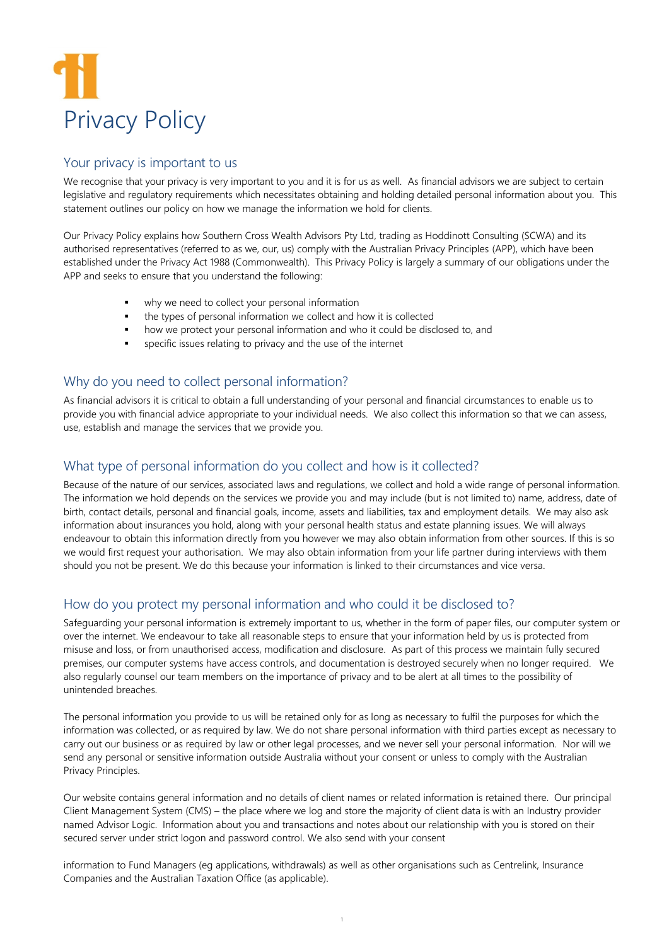

#### Your privacy is important to us

We recognise that your privacy is very important to you and it is for us as well. As financial advisors we are subject to certain legislative and regulatory requirements which necessitates obtaining and holding detailed personal information about you. This statement outlines our policy on how we manage the information we hold for clients.

Our Privacy Policy explains how Southern Cross Wealth Advisors Pty Ltd, trading as Hoddinott Consulting (SCWA) and its authorised representatives (referred to as we, our, us) comply with the Australian Privacy Principles (APP), which have been established under the Privacy Act 1988 (Commonwealth). This Privacy Policy is largely a summary of our obligations under the APP and seeks to ensure that you understand the following:

- why we need to collect your personal information
- the types of personal information we collect and how it is collected
- how we protect your personal information and who it could be disclosed to, and
- specific issues relating to privacy and the use of the internet

## Why do you need to collect personal information?

As financial advisors it is critical to obtain a full understanding of your personal and financial circumstances to enable us to provide you with financial advice appropriate to your individual needs. We also collect this information so that we can assess, use, establish and manage the services that we provide you.

## What type of personal information do you collect and how is it collected?

Because of the nature of our services, associated laws and regulations, we collect and hold a wide range of personal information. The information we hold depends on the services we provide you and may include (but is not limited to) name, address, date of birth, contact details, personal and financial goals, income, assets and liabilities, tax and employment details. We may also ask information about insurances you hold, along with your personal health status and estate planning issues. We will always endeavour to obtain this information directly from you however we may also obtain information from other sources. If this is so we would first request your authorisation. We may also obtain information from your life partner during interviews with them should you not be present. We do this because your information is linked to their circumstances and vice versa.

# How do you protect my personal information and who could it be disclosed to?

Safeguarding your personal information is extremely important to us, whether in the form of paper files, our computer system or over the internet. We endeavour to take all reasonable steps to ensure that your information held by us is protected from misuse and loss, or from unauthorised access, modification and disclosure. As part of this process we maintain fully secured premises, our computer systems have access controls, and documentation is destroyed securely when no longer required. We also regularly counsel our team members on the importance of privacy and to be alert at all times to the possibility of unintended breaches.

The personal information you provide to us will be retained only for as long as necessary to fulfil the purposes for which the information was collected, or as required by law. We do not share personal information with third parties except as necessary to carry out our business or as required by law or other legal processes, and we never sell your personal information. Nor will we send any personal or sensitive information outside Australia without your consent or unless to comply with the Australian Privacy Principles.

Our website contains general information and no details of client names or related information is retained there. Our principal Client Management System (CMS) – the place where we log and store the majority of client data is with an Industry provider named Advisor Logic. Information about you and transactions and notes about our relationship with you is stored on their secured server under strict logon and password control. We also send with your consent

information to Fund Managers (eg applications, withdrawals) as well as other organisations such as Centrelink, Insurance Companies and the Australian Taxation Office (as applicable).